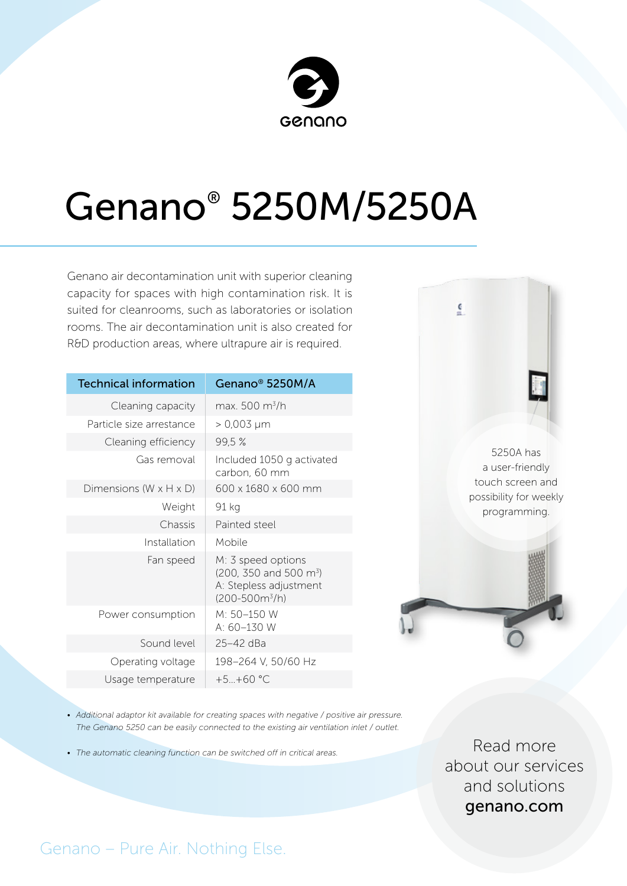

# Genano® 5250M/5250A

Genano air decontamination unit with superior cleaning capacity for spaces with high contamination risk. It is suited for cleanrooms, such as laboratories or isolation rooms. The air decontamination unit is also created for R&D production areas, where ultrapure air is required.

| <b>Technical information</b>         | Genano <sup>®</sup> 5250M/A                                                                                   |
|--------------------------------------|---------------------------------------------------------------------------------------------------------------|
| Cleaning capacity                    | max. 500 m <sup>3</sup> /h                                                                                    |
| Particle size arrestance             | > 0,003 µm                                                                                                    |
| Cleaning efficiency                  | 99,5%                                                                                                         |
| Gas removal                          | Included 1050 g activated<br>carbon, 60 mm                                                                    |
| Dimensions (W $\times$ H $\times$ D) | 600 x 1680 x 600 mm                                                                                           |
| Weight                               | 91 kg                                                                                                         |
| Chassis                              | Painted steel                                                                                                 |
| Installation                         | Mobile                                                                                                        |
| Fan speed                            | M: 3 speed options<br>$(200, 350 \text{ and } 500 \text{ m}^3)$<br>A: Stepless adjustment<br>$(200-500m^3/h)$ |
| Power consumption                    | M: 50-150 W<br>A: $60-130$ W                                                                                  |
| Sound level                          | 25-42 dBa                                                                                                     |
| Operating voltage                    | 198-264 V, 50/60 Hz                                                                                           |
| Usage temperature                    | $+5+60$ °C                                                                                                    |



 $\overline{\mathbf{c}}$ 

• Additional adaptor kit available for creating spaces with negative / positive air pressure. *The Genano 5250 can be easily connected to the existing air ventilation inlet / outlet.*

*• The automatic cleaning function can be switched off in critical areas.*

Read more about our services and solutions genano.com

### Genano – Pure Air. Nothing Else.